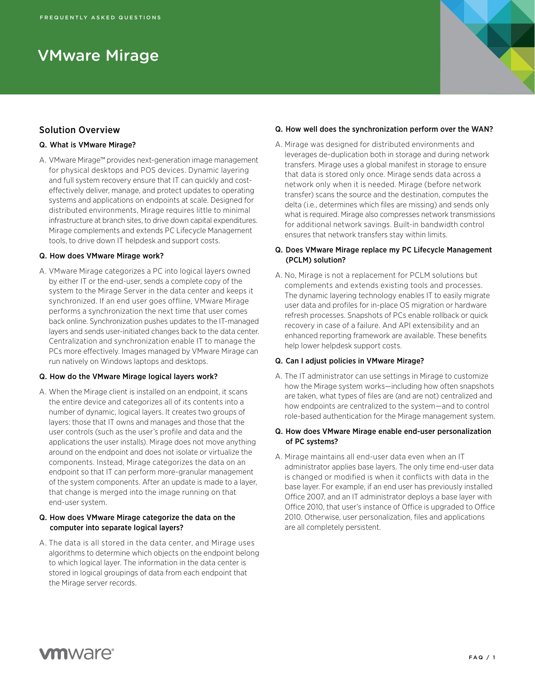# VMware Mirage

# Solution Overview

# Q. What is VMware Mirage?

A. VMware Mirage™ provides next-generation image management for physical desktops and POS devices. Dynamic layering and full system recovery ensure that IT can quickly and costeffectively deliver, manage, and protect updates to operating systems and applications on endpoints at scale. Designed for distributed environments, Mirage requires little to minimal infrastructure at branch sites, to drive down capital expenditures. Mirage complements and extends PC Lifecycle Management tools, to drive down IT helpdesk and support costs.

# Q. How does VMware Mirage work?

A. VMware Mirage categorizes a PC into logical layers owned by either IT or the end-user, sends a complete copy of the system to the Mirage Server in the data center and keeps it synchronized. If an end user goes offline, VMware Mirage performs a synchronization the next time that user comes back online. Synchronization pushes updates to the IT-managed layers and sends user-initiated changes back to the data center. Centralization and synchronization enable IT to manage the PCs more effectively. Images managed by VMware Mirage can run natively on Windows laptops and desktops.

# Q. How do the VMware Mirage logical layers work?

A. When the Mirage client is installed on an endpoint, it scans the entire device and categorizes all of its contents into a number of dynamic, logical layers. It creates two groups of layers: those that IT owns and manages and those that the user controls (such as the user's profile and data and the applications the user installs). Mirage does not move anything around on the endpoint and does not isolate or virtualize the components. Instead, Mirage categorizes the data on an endpoint so that IT can perform more-granular management of the system components. After an update is made to a layer, that change is merged into the image running on that end-user system.

# Q. How does VMware Mirage categorize the data on the computer into separate logical layers?

A. The data is all stored in the data center, and Mirage uses algorithms to determine which objects on the endpoint belong to which logical layer. The information in the data center is stored in logical groupings of data from each endpoint that the Mirage server records.

# Q. How well does the synchronization perform over the WAN?

A. Mirage was designed for distributed environments and leverages de-duplication both in storage and during network transfers. Mirage uses a global manifest in storage to ensure that data is stored only once. Mirage sends data across a network only when it is needed. Mirage (before network transfer) scans the source and the destination, computes the delta (i.e., determines which files are missing) and sends only what is required. Mirage also compresses network transmissions for additional network savings. Built-in bandwidth control ensures that network transfers stay within limits.

# Q. Does VMware Mirage replace my PC Lifecycle Management (PCLM) solution?

A. No, Mirage is not a replacement for PCLM solutions but complements and extends existing tools and processes. The dynamic layering technology enables IT to easily migrate user data and profiles for in-place OS migration or hardware refresh processes. Snapshots of PCs enable rollback or quick recovery in case of a failure. And API extensibility and an enhanced reporting framework are available. These benefits help lower helpdesk support costs.

# Q. Can I adjust policies in VMware Mirage?

A. The IT administrator can use settings in Mirage to customize how the Mirage system works—including how often snapshots are taken, what types of files are (and are not) centralized and how endpoints are centralized to the system—and to control role-based authentication for the Mirage management system.

# Q. How does VMware Mirage enable end-user personalization of PC systems?

A. Mirage maintains all end-user data even when an IT administrator applies base layers. The only time end-user data is changed or modified is when it conflicts with data in the base layer. For example, if an end user has previously installed Office 2007, and an IT administrator deploys a base layer with Office 2010, that user's instance of Office is upgraded to Office 2010. Otherwise, user personalization, files and applications are all completely persistent.

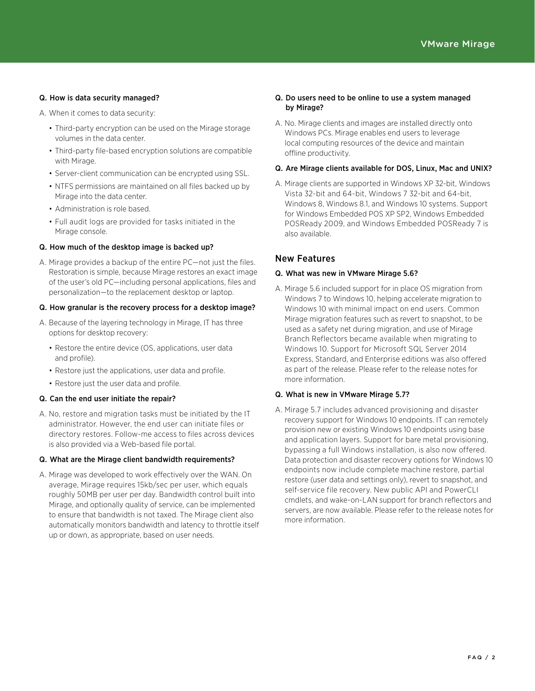# Q. How is data security managed?

A. When it comes to data security:

- Third-party encryption can be used on the Mirage storage volumes in the data center.
- Third-party file-based encryption solutions are compatible with Mirage.
- Server-client communication can be encrypted using SSL.
- NTFS permissions are maintained on all files backed up by Mirage into the data center.
- Administration is role based.
- Full audit logs are provided for tasks initiated in the Mirage console.

# Q. How much of the desktop image is backed up?

A. Mirage provides a backup of the entire PC—not just the files. Restoration is simple, because Mirage restores an exact image of the user's old PC—including personal applications, files and personalization—to the replacement desktop or laptop.

# Q. How granular is the recovery process for a desktop image?

- A. Because of the layering technology in Mirage, IT has three options for desktop recovery:
	- Restore the entire device (OS, applications, user data and profile).
	- Restore just the applications, user data and profile.
	- Restore just the user data and profile.

# Q. Can the end user initiate the repair?

A. No, restore and migration tasks must be initiated by the IT administrator. However, the end user can initiate files or directory restores. Follow-me access to files across devices is also provided via a Web-based file portal.

#### Q. What are the Mirage client bandwidth requirements?

A. Mirage was developed to work effectively over the WAN. On average, Mirage requires 15kb/sec per user, which equals roughly 50MB per user per day. Bandwidth control built into Mirage, and optionally quality of service, can be implemented to ensure that bandwidth is not taxed. The Mirage client also automatically monitors bandwidth and latency to throttle itself up or down, as appropriate, based on user needs.

#### Q. Do users need to be online to use a system managed by Mirage?

A. No. Mirage clients and images are installed directly onto Windows PCs. Mirage enables end users to leverage local computing resources of the device and maintain offline productivity.

#### Q. Are Mirage clients available for DOS, Linux, Mac and UNIX?

A. Mirage clients are supported in Windows XP 32-bit, Windows Vista 32-bit and 64-bit, Windows 7 32-bit and 64-bit, Windows 8, Windows 8.1, and Windows 10 systems. Support for Windows Embedded POS XP SP2, Windows Embedded POSReady 2009, and Windows Embedded POSReady 7 is also available.

# New Features

#### Q. What was new in VMware Mirage 5.6?

A. Mirage 5.6 included support for in place OS migration from Windows 7 to Windows 10, helping accelerate migration to Windows 10 with minimal impact on end users. Common Mirage migration features such as revert to snapshot, to be used as a safety net during migration, and use of Mirage Branch Reflectors became available when migrating to Windows 10. Support for Microsoft SQL Server 2014 Express, Standard, and Enterprise editions was also offered as part of the release. Please refer to the release notes for more information.

# Q. What is new in VMware Mirage 5.7?

A. Mirage 5.7 includes advanced provisioning and disaster recovery support for Windows 10 endpoints. IT can remotely provision new or existing Windows 10 endpoints using base and application layers. Support for bare metal provisioning, bypassing a full Windows installation, is also now offered. Data protection and disaster recovery options for Windows 10 endpoints now include complete machine restore, partial restore (user data and settings only), revert to snapshot, and self-service file recovery. New public API and PowerCLI cmdlets, and wake-on-LAN support for branch reflectors and servers, are now available. Please refer to the release notes for more information.